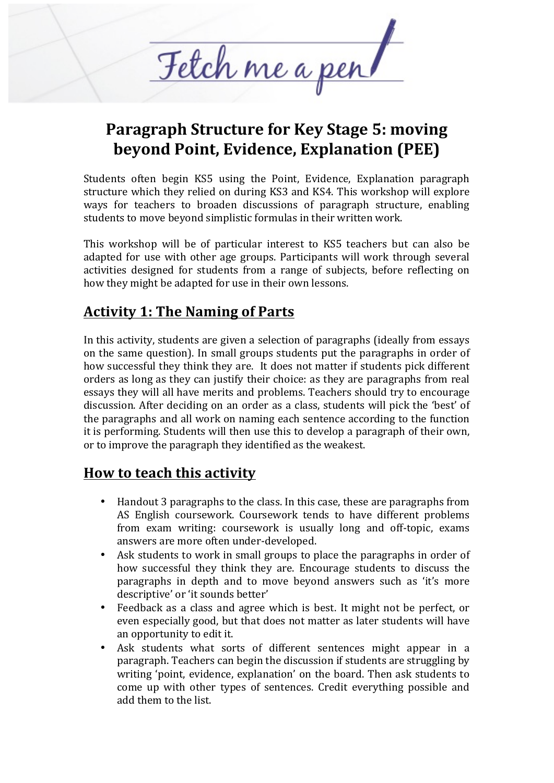

# **Paragraph Structure for Key Stage 5: moving beyond Point, Evidence, Explanation (PEE)**

Students often begin KS5 using the Point, Evidence, Explanation paragraph structure which they relied on during KS3 and KS4. This workshop will explore ways for teachers to broaden discussions of paragraph structure, enabling students to move beyond simplistic formulas in their written work.

This workshop will be of particular interest to KS5 teachers but can also be adapted for use with other age groups. Participants will work through several activities designed for students from a range of subjects, before reflecting on how they might be adapted for use in their own lessons.

# **Activity 1: The Naming of Parts**

In this activity, students are given a selection of paragraphs (ideally from essays on the same question). In small groups students put the paragraphs in order of how successful they think they are. It does not matter if students pick different orders as long as they can justify their choice: as they are paragraphs from real essays they will all have merits and problems. Teachers should try to encourage discussion. After deciding on an order as a class, students will pick the 'best' of the paragraphs and all work on naming each sentence according to the function it is performing. Students will then use this to develop a paragraph of their own, or to improve the paragraph they identified as the weakest.

# **How to teach this activity**

- Handout 3 paragraphs to the class. In this case, these are paragraphs from AS English coursework. Coursework tends to have different problems from exam writing: coursework is usually long and off-topic, exams answers are more often under-developed.
- Ask students to work in small groups to place the paragraphs in order of how successful they think they are. Encourage students to discuss the paragraphs in depth and to move beyond answers such as 'it's more descriptive' or 'it sounds better'
- Feedback as a class and agree which is best. It might not be perfect, or even especially good, but that does not matter as later students will have an opportunity to edit it.
- Ask students what sorts of different sentences might appear in a paragraph. Teachers can begin the discussion if students are struggling by writing 'point, evidence, explanation' on the board. Then ask students to come up with other types of sentences. Credit everything possible and add them to the list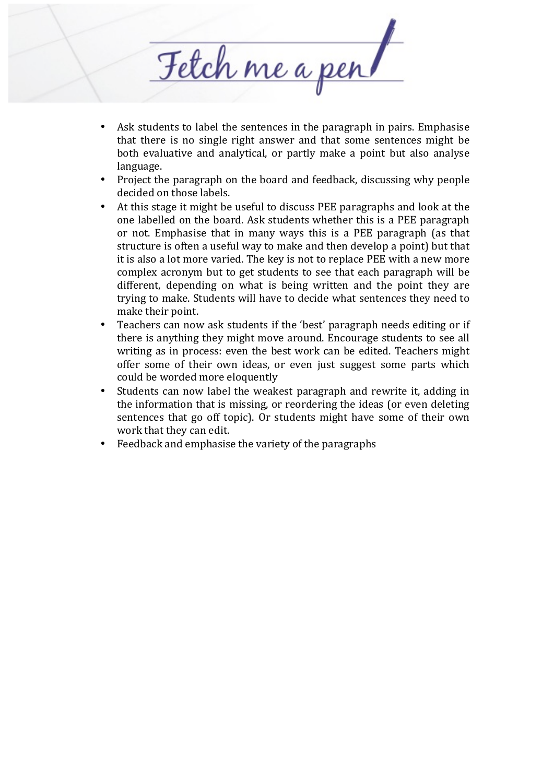Fetch me a per

- Ask students to label the sentences in the paragraph in pairs. Emphasise that there is no single right answer and that some sentences might be both evaluative and analytical, or partly make a point but also analyse language.
- Project the paragraph on the board and feedback, discussing why people decided on those labels.
- At this stage it might be useful to discuss PEE paragraphs and look at the one labelled on the board. Ask students whether this is a PEE paragraph or not. Emphasise that in many ways this is a PEE paragraph (as that structure is often a useful way to make and then develop a point) but that it is also a lot more varied. The key is not to replace PEE with a new more complex acronym but to get students to see that each paragraph will be different, depending on what is being written and the point they are trying to make. Students will have to decide what sentences they need to make their point.
- Teachers can now ask students if the 'best' paragraph needs editing or if there is anything they might move around. Encourage students to see all writing as in process: even the best work can be edited. Teachers might offer some of their own ideas, or even just suggest some parts which could be worded more eloquently
- Students can now label the weakest paragraph and rewrite it, adding in the information that is missing, or reordering the ideas (or even deleting sentences that go off topic). Or students might have some of their own work that they can edit.
- Feedback and emphasise the variety of the paragraphs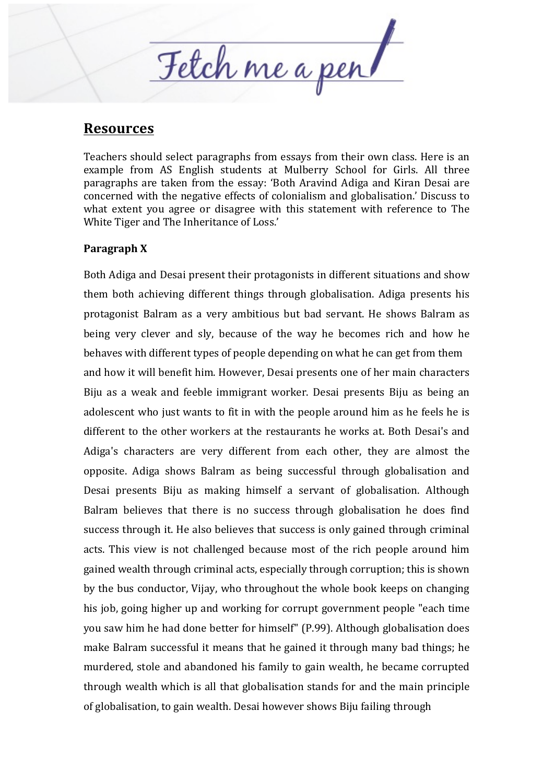Fetch me a per

### **Resources**

Teachers should select paragraphs from essays from their own class. Here is an example from AS English students at Mulberry School for Girls. All three paragraphs are taken from the essay: 'Both Aravind Adiga and Kiran Desai are concerned with the negative effects of colonialism and globalisation.' Discuss to what extent you agree or disagree with this statement with reference to The White Tiger and The Inheritance of Loss.'

### **Paragraph X**

Both Adiga and Desai present their protagonists in different situations and show them both achieving different things through globalisation. Adiga presents his protagonist Balram as a very ambitious but bad servant. He shows Balram as being very clever and sly, because of the way he becomes rich and how he behaves with different types of people depending on what he can get from them and how it will benefit him. However, Desai presents one of her main characters Biju as a weak and feeble immigrant worker. Desai presents Biju as being an adolescent who just wants to fit in with the people around him as he feels he is different to the other workers at the restaurants he works at. Both Desai's and Adiga's characters are very different from each other, they are almost the opposite. Adiga shows Balram as being successful through globalisation and Desai presents Biju as making himself a servant of globalisation. Although Balram believes that there is no success through globalisation he does find success through it. He also believes that success is only gained through criminal acts. This view is not challenged because most of the rich people around him gained wealth through criminal acts, especially through corruption; this is shown by the bus conductor, Vijay, who throughout the whole book keeps on changing his job, going higher up and working for corrupt government people "each time" you saw him he had done better for himself" (P.99). Although globalisation does make Balram successful it means that he gained it through many bad things; he murdered, stole and abandoned his family to gain wealth, he became corrupted through wealth which is all that globalisation stands for and the main principle of globalisation, to gain wealth. Desai however shows Biju failing through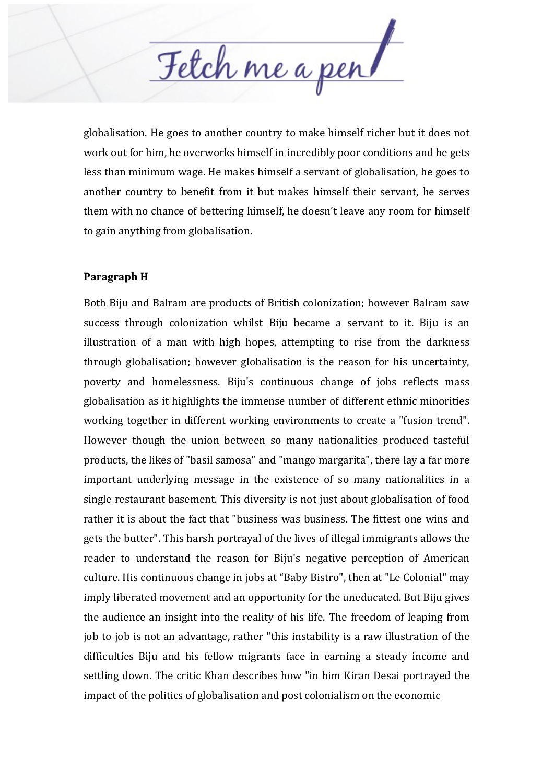Fetch me a per

globalisation. He goes to another country to make himself richer but it does not work out for him, he overworks himself in incredibly poor conditions and he gets less than minimum wage. He makes himself a servant of globalisation, he goes to another country to benefit from it but makes himself their servant, he serves them with no chance of bettering himself, he doesn't leave any room for himself to gain anything from globalisation.

#### **Paragraph H**

Both Biju and Balram are products of British colonization; however Balram saw success through colonization whilst Biju became a servant to it. Biju is an illustration of a man with high hopes, attempting to rise from the darkness through globalisation; however globalisation is the reason for his uncertainty. poverty and homelessness. Biju's continuous change of jobs reflects mass globalisation as it highlights the immense number of different ethnic minorities working together in different working environments to create a "fusion trend". However though the union between so many nationalities produced tasteful products, the likes of "basil samosa" and "mango margarita", there lay a far more important underlying message in the existence of so many nationalities in a single restaurant basement. This diversity is not just about globalisation of food rather it is about the fact that "business was business. The fittest one wins and gets the butter". This harsh portrayal of the lives of illegal immigrants allows the reader to understand the reason for Biju's negative perception of American culture. His continuous change in jobs at "Baby Bistro", then at "Le Colonial" may imply liberated movement and an opportunity for the uneducated. But Biju gives the audience an insight into the reality of his life. The freedom of leaping from job to job is not an advantage, rather "this instability is a raw illustration of the difficulties Biju and his fellow migrants face in earning a steady income and settling down. The critic Khan describes how "in him Kiran Desai portrayed the impact of the politics of globalisation and post colonialism on the economic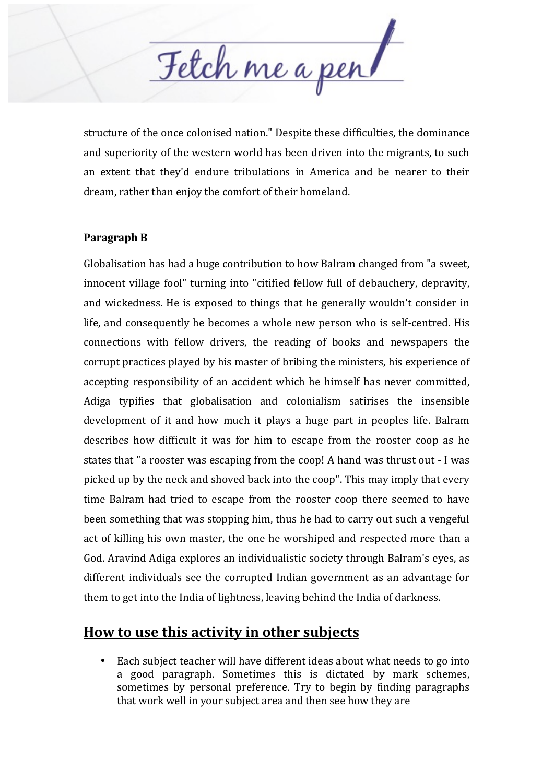Fetch me a per

structure of the once colonised nation." Despite these difficulties, the dominance and superiority of the western world has been driven into the migrants, to such an extent that they'd endure tribulations in America and be nearer to their dream, rather than enjoy the comfort of their homeland.

### **Paragraph B**

Globalisation has had a huge contribution to how Balram changed from "a sweet, innocent village fool" turning into "citified fellow full of debauchery, depravity, and wickedness. He is exposed to things that he generally wouldn't consider in life, and consequently he becomes a whole new person who is self-centred. His connections with fellow drivers, the reading of books and newspapers the corrupt practices played by his master of bribing the ministers, his experience of accepting responsibility of an accident which he himself has never committed, Adiga typifies that globalisation and colonialism satirises the insensible development of it and how much it plays a huge part in peoples life. Balram describes how difficult it was for him to escape from the rooster coop as he states that "a rooster was escaping from the coop! A hand was thrust out - I was picked up by the neck and shoved back into the coop". This may imply that every time Balram had tried to escape from the rooster coop there seemed to have been something that was stopping him, thus he had to carry out such a vengeful act of killing his own master, the one he worshiped and respected more than a God. Aravind Adiga explores an individualistic society through Balram's eyes, as different individuals see the corrupted Indian government as an advantage for them to get into the India of lightness, leaving behind the India of darkness.

### **How to use this activity in other subjects**

• Each subject teacher will have different ideas about what needs to go into a good paragraph. Sometimes this is dictated by mark schemes, sometimes by personal preference. Try to begin by finding paragraphs that work well in your subject area and then see how they are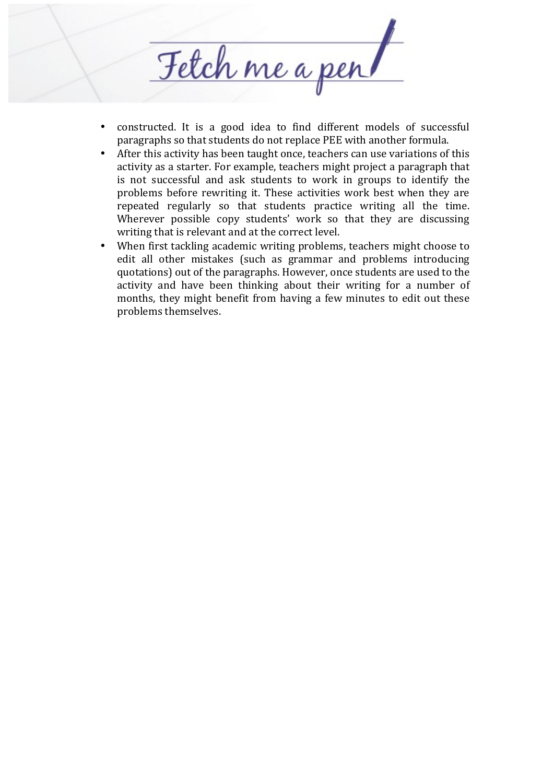

- constructed. It is a good idea to find different models of successful paragraphs so that students do not replace PEE with another formula.
- After this activity has been taught once, teachers can use variations of this activity as a starter. For example, teachers might project a paragraph that is not successful and ask students to work in groups to identify the problems before rewriting it. These activities work best when they are repeated regularly so that students practice writing all the time. Wherever possible copy students' work so that they are discussing writing that is relevant and at the correct level.
- When first tackling academic writing problems, teachers might choose to edit all other mistakes (such as grammar and problems introducing quotations) out of the paragraphs. However, once students are used to the activity and have been thinking about their writing for a number of months, they might benefit from having a few minutes to edit out these problems themselves.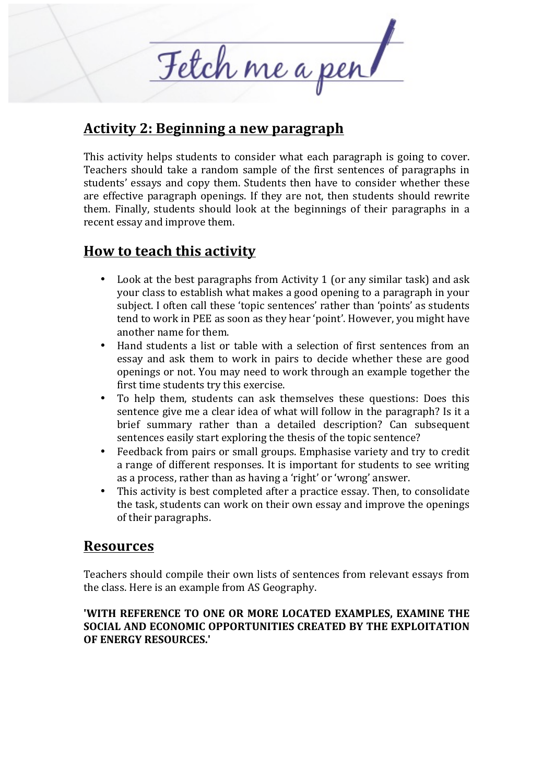Fetch me a per

### Activity 2: Beginning a new paragraph

This activity helps students to consider what each paragraph is going to cover. Teachers should take a random sample of the first sentences of paragraphs in students' essays and copy them. Students then have to consider whether these are effective paragraph openings. If they are not, then students should rewrite them. Finally, students should look at the beginnings of their paragraphs in a recent essay and improve them.

# **How to teach this activity**

- Look at the best paragraphs from Activity 1 (or any similar task) and ask your class to establish what makes a good opening to a paragraph in your subject. I often call these 'topic sentences' rather than 'points' as students tend to work in PEE as soon as they hear 'point'. However, you might have another name for them.
- Hand students a list or table with a selection of first sentences from an essay and ask them to work in pairs to decide whether these are good openings or not. You may need to work through an example together the first time students try this exercise.
- To help them, students can ask themselves these questions: Does this sentence give me a clear idea of what will follow in the paragraph? Is it a brief summary rather than a detailed description? Can subsequent sentences easily start exploring the thesis of the topic sentence?
- Feedback from pairs or small groups. Emphasise variety and try to credit a range of different responses. It is important for students to see writing as a process, rather than as having a 'right' or 'wrong' answer.
- This activity is best completed after a practice essay. Then, to consolidate the task, students can work on their own essay and improve the openings of their paragraphs.

### **Resources**

Teachers should compile their own lists of sentences from relevant essays from the class. Here is an example from AS Geography.

### **'WITH REFERENCE TO ONE OR MORE LOCATED EXAMPLES, EXAMINE THE SOCIAL AND ECONOMIC OPPORTUNITIES CREATED BY THE EXPLOITATION OF ENERGY RESOURCES.'**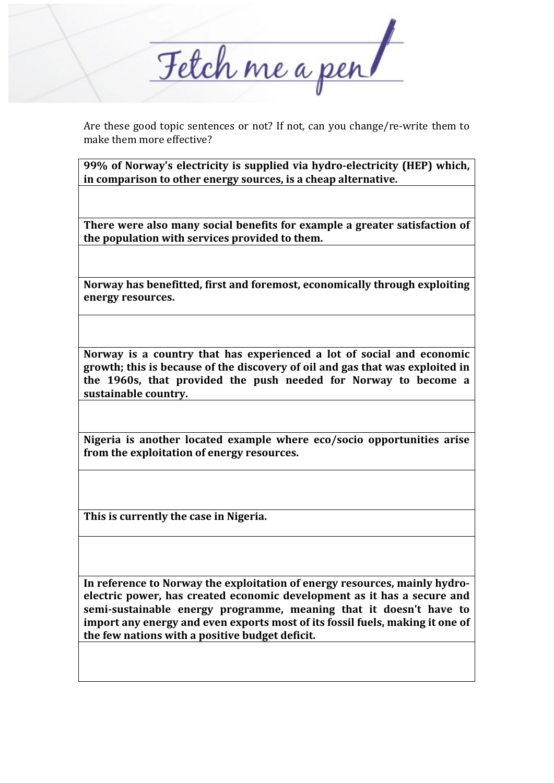Fetch me a per

Are these good topic sentences or not? If not, can you change/re-write them to make them more effective?

**99%** of Norway's electricity is supplied via hydro-electricity (HEP) which, in comparison to other energy sources, is a cheap alternative.

There were also many social benefits for example a greater satisfaction of the population with services provided to them.

**Norway has benefitted, first and foremost, economically through exploiting energy resources.**

**Norway** is a country that has experienced a lot of social and economic growth; this is because of the discovery of oil and gas that was exploited in the 1960s, that provided the push needed for Norway to become a sustainable country.

Nigeria is another located example where eco/socio opportunities arise from the exploitation of energy resources.

This is currently the case in Nigeria.

In reference to Norway the exploitation of energy resources, mainly hydro**electric power, has created economic development as it has a secure and semi-sustainable energy programme, meaning that it doesn't have to** import any energy and even exports most of its fossil fuels, making it one of the few nations with a positive budget deficit.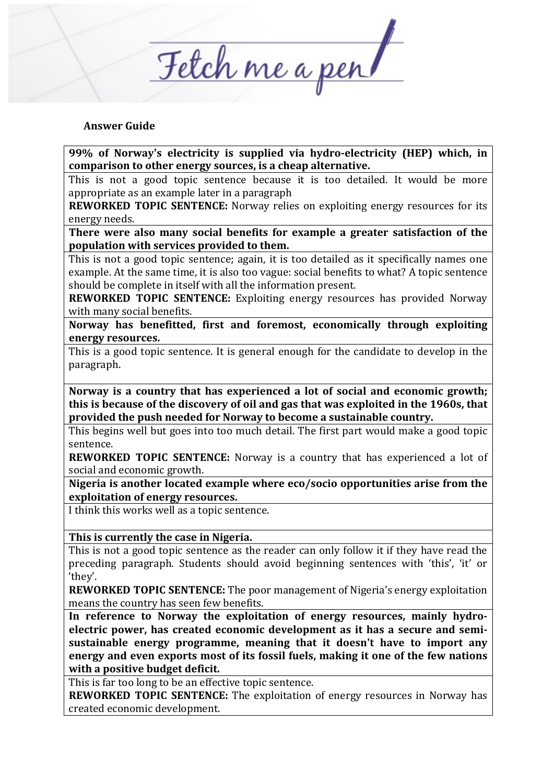Fetch me a per

#### **Answer Guide**

**99%** of Norway's electricity is supplied via hydro-electricity (HEP) which, in comparison to other energy sources, is a cheap alternative.

This is not a good topic sentence because it is too detailed. It would be more appropriate as an example later in a paragraph

**REWORKED TOPIC SENTENCE:** Norway relies on exploiting energy resources for its energy needs. 

There were also many social benefits for example a greater satisfaction of the population with services provided to them.

This is not a good topic sentence; again, it is too detailed as it specifically names one example. At the same time, it is also too vague: social benefits to what? A topic sentence should be complete in itself with all the information present.

**REWORKED TOPIC SENTENCE:** Exploiting energy resources has provided Norway with many social benefits.

**Norway** has benefitted, first and foremost, economically through exploiting **energy resources.**

This is a good topic sentence. It is general enough for the candidate to develop in the paragraph. 

Norway is a country that has experienced a lot of social and economic growth; this is because of the discovery of oil and gas that was exploited in the 1960s, that provided the push needed for Norway to become a sustainable country.

This begins well but goes into too much detail. The first part would make a good topic sentence.

**REWORKED TOPIC SENTENCE:** Norway is a country that has experienced a lot of social and economic growth.

Nigeria is another located example where eco/socio opportunities arise from the **exploitation of energy resources.** 

I think this works well as a topic sentence.

This is currently the case in Nigeria.

This is not a good topic sentence as the reader can only follow it if they have read the preceding paragraph. Students should avoid beginning sentences with 'this', 'it' or 'they'. 

**REWORKED TOPIC SENTENCE:** The poor management of Nigeria's energy exploitation means the country has seen few benefits.

In reference to Norway the exploitation of energy resources, mainly hydroelectric power, has created economic development as it has a secure and semi**sustainable energy programme, meaning that it doesn't have to import any** energy and even exports most of its fossil fuels, making it one of the few nations **with a positive budget deficit.** 

This is far too long to be an effective topic sentence.

**REWORKED TOPIC SENTENCE:** The exploitation of energy resources in Norway has created economic development.